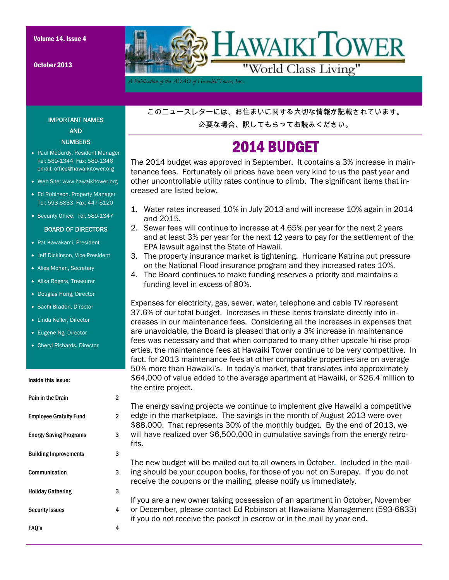October 2013



*A Publication of the AOAO of Hawaiki Tower, Inc..* 

### IMPORTANT NAMES AND **NUMBERS**

- Paul McCurdy, Resident Manager Tel: 589-1344 Fax: 589-1346 email: office@hawaikitower.org
- Web Site: www.hawaikitower.org
- Ed Robinson, Property Manager Tel: 593-6833 Fax: 447-5120
- Security Office: Tel: 589-1347

### BOARD OF DIRECTORS

- Pat Kawakami, President
- Jeff Dickinson, Vice-President
- Alies Mohan, Secretary
- Alika Rogers, Treasurer
- Douglas Hung, Director
- Sachi Braden, Director
- Linda Keller, Director
- Eugene Ng, Director
- Cheryl Richards, Director

#### Inside this issue:

# Pain in the Drain 2 Employee Gratuity Fund 2 Holiday Gathering 3 Security Issues 4 FAQ's 4 Energy Saving Programs 3 Building Improvements 3 Communication 3 fits.

このニュースレターには、お住まいに関する大切な情報が記載されています。

必要な場合、訳してもらってお読みください。

## 2014 BUDGET

The 2014 budget was approved in September. It contains a 3% increase in maintenance fees. Fortunately oil prices have been very kind to us the past year and other uncontrollable utility rates continue to climb. The significant items that increased are listed below.

- 1. Water rates increased 10% in July 2013 and will increase 10% again in 2014 and 2015.
- 2. Sewer fees will continue to increase at 4.65% per year for the next 2 years and at least 3% per year for the next 12 years to pay for the settlement of the EPA lawsuit against the State of Hawaii.
- 3. The property insurance market is tightening. Hurricane Katrina put pressure on the National Flood insurance program and they increased rates 10%.
- 4. The Board continues to make funding reserves a priority and maintains a funding level in excess of 80%.

Expenses for electricity, gas, sewer, water, telephone and cable TV represent 37.6% of our total budget. Increases in these items translate directly into increases in our maintenance fees. Considering all the increases in expenses that are unavoidable, the Board is pleased that only a 3% increase in maintenance fees was necessary and that when compared to many other upscale hi-rise properties, the maintenance fees at Hawaiki Tower continue to be very competitive. In fact, for 2013 maintenance fees at other comparable properties are on average 50% more than Hawaiki's. In today's market, that translates into approximately \$64,000 of value added to the average apartment at Hawaiki, or \$26.4 million to the entire project.

The energy saving projects we continue to implement give Hawaiki a competitive edge in the marketplace. The savings in the month of August 2013 were over \$88,000. That represents 30% of the monthly budget. By the end of 2013, we will have realized over \$6,500,000 in cumulative savings from the energy retro-

The new budget will be mailed out to all owners in October. Included in the mailing should be your coupon books, for those of you not on Surepay. If you do not receive the coupons or the mailing, please notify us immediately.

If you are a new owner taking possession of an apartment in October, November or December, please contact Ed Robinson at Hawaiiana Management (593-6833) if you do not receive the packet in escrow or in the mail by year end.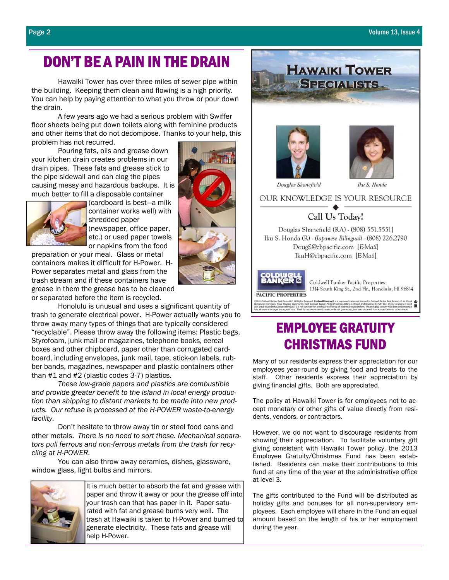## DON'T BE A PAIN IN THE DRAIN

 Hawaiki Tower has over three miles of sewer pipe within the building. Keeping them clean and flowing is a high priority. You can help by paying attention to what you throw or pour down the drain.

 A few years ago we had a serious problem with Swiffer floor sheets being put down toilets along with feminine products and other items that do not decompose. Thanks to your help, this problem has not recurred.

 Pouring fats, oils and grease down your kitchen drain creates problems in our drain pipes. These fats and grease stick to the pipe sidewall and can clog the pipes causing messy and hazardous backups. It is much better to fill a disposable container



(cardboard is best—a milk container works well) with shredded paper (newspaper, office paper, etc.) or used paper towels or napkins from the food

preparation or your meal. Glass or metal containers makes it difficult for H-Power. H-Power separates metal and glass from the trash stream and if these containers have grease in them the grease has to be cleaned or separated before the item is recycled.

 Honolulu is unusual and uses a significant quantity of trash to generate electrical power. H-Power actually wants you to throw away many types of things that are typically considered "recyclable". Please throw away the following items: Plastic bags, Styrofoam, junk mail or magazines, telephone books, cereal boxes and other chipboard, paper other than corrugated cardboard, including envelopes, junk mail, tape, stick-on labels, rubber bands, magazines, newspaper and plastic containers other than #1 and #2 (plastic codes 3-7) plastics.

*These low-grade papers and plastics are combustible and provide greater benefit to the island in local energy production than shipping to distant markets to be made into new products. Our refuse is processed at the H-POWER waste-to-energy facility.*

 Don't hesitate to throw away tin or steel food cans and other metals. *There is no need to sort these. Mechanical separators pull ferrous and non-ferrous metals from the trash for recycling at H-POWER.*

 You can also throw away ceramics, dishes, glassware, window glass, light bulbs and mirrors.



It is much better to absorb the fat and grease with paper and throw it away or pour the grease off into your trash can that has paper in it. Paper saturated with fat and grease burns very well. The trash at Hawaiki is taken to H-Power and burned to generate electricity. These fats and grease will help H-Power.





**HAWAIKI TOWER SPECIALISTS.** 

# EMPLOYEE GRATUITY CHRISTMAS FUND

Many of our residents express their appreciation for our employees year-round by giving food and treats to the staff. Other residents express their appreciation by giving financial gifts. Both are appreciated.

The policy at Hawaiki Tower is for employees not to accept monetary or other gifts of value directly from residents, vendors, or contractors.

However, we do not want to discourage residents from showing their appreciation. To facilitate voluntary gift giving consistent with Hawaiki Tower policy, the 2013 Employee Gratuity/Christmas Fund has been established. Residents can make their contributions to this fund at any time of the year at the administrative office at level 3.

The gifts contributed to the Fund will be distributed as holiday gifts and bonuses for all non-supervisory employees. Each employee will share in the Fund an equal amount based on the length of his or her employment during the year.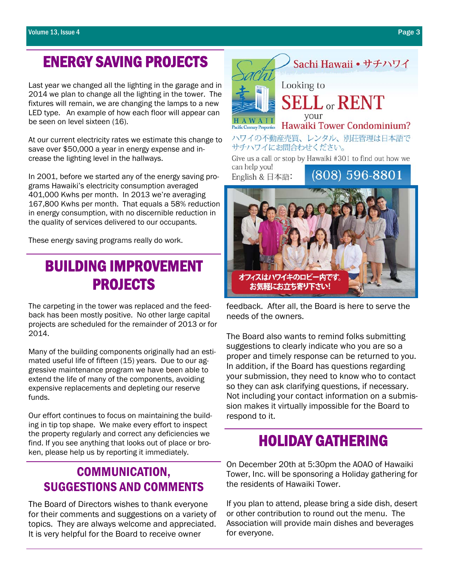# ENERGY SAVING PROJECTS

Last year we changed all the lighting in the garage and in 2014 we plan to change all the lighting in the tower. The fixtures will remain, we are changing the lamps to a new LED type. An example of how each floor will appear can be seen on level sixteen (16).

At our current electricity rates we estimate this change to save over \$50,000 a year in energy expense and increase the lighting level in the hallways.

In 2001, before we started any of the energy saving programs Hawaiki's electricity consumption averaged 401,000 Kwhs per month. In 2013 we're averaging 167,800 Kwhs per month. That equals a 58% reduction in energy consumption, with no discernible reduction in the quality of services delivered to our occupants.

These energy saving programs really do work.

# BUILDING IMPROVEMENT PROJECTS

The carpeting in the tower was replaced and the feedback has been mostly positive. No other large capital projects are scheduled for the remainder of 2013 or for 2014.

Many of the building components originally had an estimated useful life of fifteen (15) years. Due to our aggressive maintenance program we have been able to extend the life of many of the components, avoiding expensive replacements and depleting our reserve funds.

Our effort continues to focus on maintaining the building in tip top shape. We make every effort to inspect the property regularly and correct any deficiencies we find. If you see anything that looks out of place or broken, please help us by reporting it immediately.

### COMMUNICATION, SUGGESTIONS AND COMMENTS

The Board of Directors wishes to thank everyone for their comments and suggestions on a variety of topics. They are always welcome and appreciated. It is very helpful for the Board to receive owner



Sachi Hawaii • サチハワイ

オフィスはハワイキのロビー内です お気軽にお立ち寄り下さい!

feedback. After all, the Board is here to serve the needs of the owners.

The Board also wants to remind folks submitting suggestions to clearly indicate who you are so a proper and timely response can be returned to you. In addition, if the Board has questions regarding your submission, they need to know who to contact so they can ask clarifying questions, if necessary. Not including your contact information on a submission makes it virtually impossible for the Board to respond to it.

# HOLIDAY GATHERING

On December 20th at 5:30pm the AOAO of Hawaiki Tower, Inc. will be sponsoring a Holiday gathering for the residents of Hawaiki Tower.

If you plan to attend, please bring a side dish, desert or other contribution to round out the menu. The Association will provide main dishes and beverages for everyone.